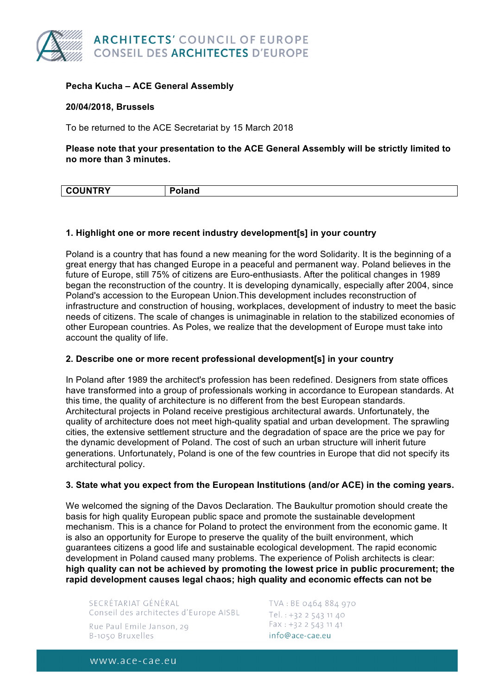

# **Pecha Kucha – ACE General Assembly**

### **20/04/2018, Brussels**

To be returned to the ACE Secretariat by 15 March 2018

**Please note that your presentation to the ACE General Assembly will be strictly limited to no more than 3 minutes.** 

| <b>UNTRY</b> | . . |
|--------------|-----|
|              |     |

#### **1. Highlight one or more recent industry development[s] in your country**

Poland is a country that has found a new meaning for the word Solidarity. It is the beginning of a great energy that has changed Europe in a peaceful and permanent way. Poland believes in the future of Europe, still 75% of citizens are Euro-enthusiasts. After the political changes in 1989 began the reconstruction of the country. It is developing dynamically, especially after 2004, since Poland's accession to the European Union.This development includes reconstruction of infrastructure and construction of housing, workplaces, development of industry to meet the basic needs of citizens. The scale of changes is unimaginable in relation to the stabilized economies of other European countries. As Poles, we realize that the development of Europe must take into account the quality of life.

### **2. Describe one or more recent professional development[s] in your country**

In Poland after 1989 the architect's profession has been redefined. Designers from state offices have transformed into a group of professionals working in accordance to European standards. At this time, the quality of architecture is no different from the best European standards. Architectural projects in Poland receive prestigious architectural awards. Unfortunately, the quality of architecture does not meet high-quality spatial and urban development. The sprawling cities, the extensive settlement structure and the degradation of space are the price we pay for the dynamic development of Poland. The cost of such an urban structure will inherit future generations. Unfortunately, Poland is one of the few countries in Europe that did not specify its architectural policy.

### **3. State what you expect from the European Institutions (and/or ACE) in the coming years.**

We welcomed the signing of the Davos Declaration. The Baukultur promotion should create the basis for high quality European public space and promote the sustainable development mechanism. This is a chance for Poland to protect the environment from the economic game. It is also an opportunity for Europe to preserve the quality of the built environment, which guarantees citizens a good life and sustainable ecological development. The rapid economic development in Poland caused many problems. The experience of Polish architects is clear: **high quality can not be achieved by promoting the lowest price in public procurement; the rapid development causes legal chaos; high quality and economic effects can not be**

SECRÉTARIAT GÉNÉRAL Conseil des architectes d'Europe AISBL Rue Paul Emile Janson, 29 B-1050 Bruxelles

TVA: BE 0464 884 970 Tel.: +32 2 543 11 40 Fax: +32 2 543 11 41 info@ace-cae.eu

www.ace-cae.eu